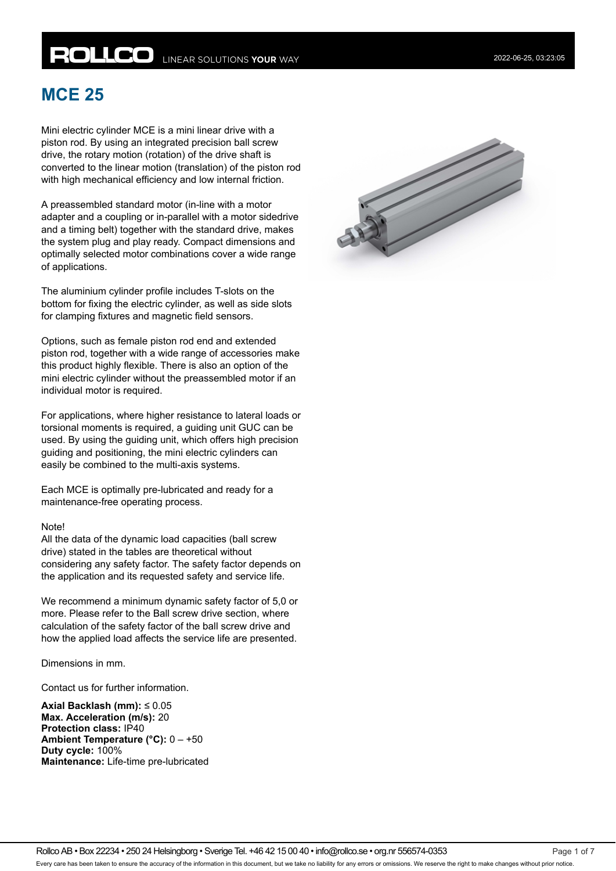# **ROLLCO** LINEAR SOLUTIONS YOUR WAY

# **MCE 25**

Mini electric cylinder MCE is a mini linear drive with a piston rod. By using an integrated precision ball screw drive, the rotary motion (rotation) of the drive shaft is converted to the linear motion (translation) of the piston rod with high mechanical efficiency and low internal friction.

A preassembled standard motor (in-line with a motor adapter and a coupling or in-parallel with a motor sidedrive and a timing belt) together with the standard drive, makes the system plug and play ready. Compact dimensions and optimally selected motor combinations cover a wide range of applications.

The aluminium cylinder profile includes T-slots on the bottom for fixing the electric cylinder, as well as side slots for clamping fixtures and magnetic field sensors.

Options, such as female piston rod end and extended piston rod, together with a wide range of accessories make this product highly flexible. There is also an option of the mini electric cylinder without the preassembled motor if an individual motor is required.

For applications, where higher resistance to lateral loads or torsional moments is required, a guiding unit GUC can be used. By using the guiding unit, which offers high precision guiding and positioning, the mini electric cylinders can easily be combined to the multi-axis systems.

Each MCE is optimally pre-lubricated and ready for a maintenance-free operating process.

#### Note!

All the data of the dynamic load capacities (ball screw drive) stated in the tables are theoretical without considering any safety factor. The safety factor depends on the application and its requested safety and service life.

We recommend a minimum dynamic safety factor of 5,0 or more. Please refer to the Ball screw drive section, where calculation of the safety factor of the ball screw drive and how the applied load affects the service life are presented.

Dimensions in mm.

Contact us for further information.

**Axial Backlash (mm):** ≤ 0.05 **Max. Acceleration (m/s):** 20 **Protection class:** IP40 **Ambient Temperature (°C):** 0 – +50 **Duty cycle:** 100% **Maintenance:** Life-time pre-lubricated

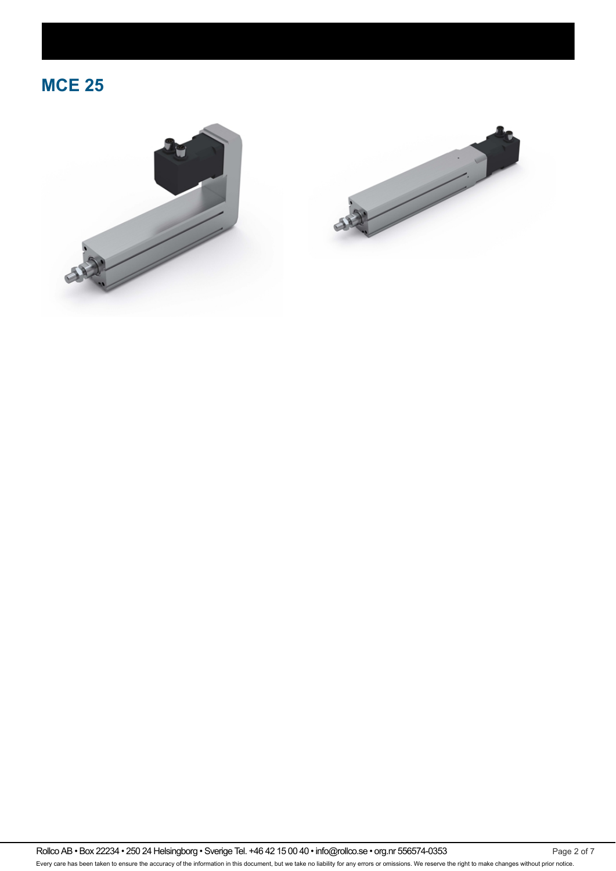



Rollco AB • Box 22234 • 250 24 Helsingborg • Sverige Tel. +46 42 15 00 40 • info@rollco.se • org.nr 556574-0353 Page 2 of 7 Every care has been taken to ensure the accuracy of the information in this document, but we take no liability for any errors or omissions. We reserve the right to make changes without prior notice.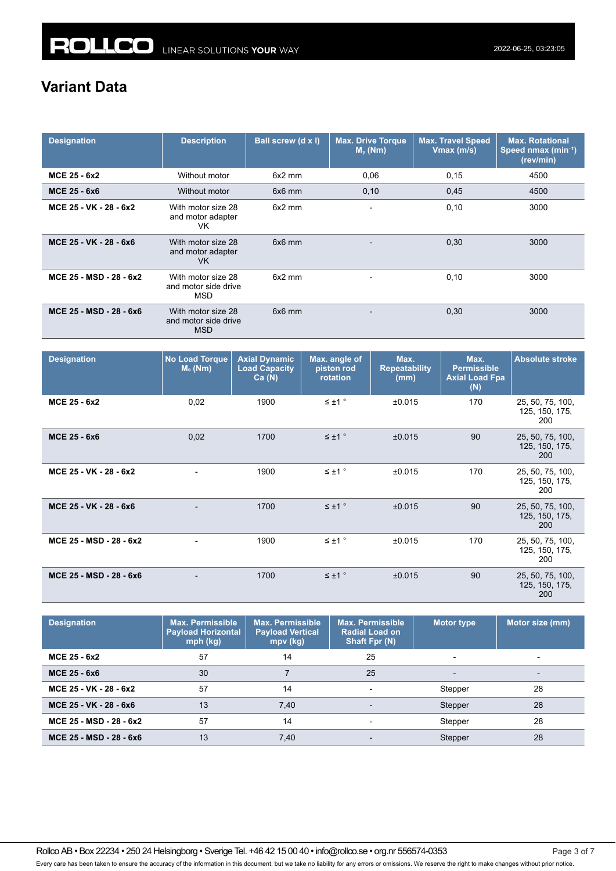# **Variant Data**

| <b>Designation</b>      | <b>Description</b>                                       | Ball screw (d x l) | Max. Drive Torque<br>$M_{p}$ (Nm) | <b>Max. Travel Speed</b><br>Vmax (m/s) | <b>Max. Rotational</b><br>Speed nmax (min <sup>-1</sup> )<br>(rev/min) |
|-------------------------|----------------------------------------------------------|--------------------|-----------------------------------|----------------------------------------|------------------------------------------------------------------------|
| MCE 25 - 6x2            | Without motor                                            | $6x2$ mm           | 0,06                              | 0,15                                   | 4500                                                                   |
| <b>MCE 25 - 6x6</b>     | Without motor                                            | $6x6$ mm           | 0,10                              | 0,45                                   | 4500                                                                   |
| MCE 25 - VK - 28 - 6x2  | With motor size 28<br>and motor adapter<br>VK            | $6x2$ mm           | $\blacksquare$                    | 0,10                                   | 3000                                                                   |
| MCE 25 - VK - 28 - 6x6  | With motor size 28<br>and motor adapter<br>VK.           | $6x6$ mm           |                                   | 0,30                                   | 3000                                                                   |
| MCE 25 - MSD - 28 - 6x2 | With motor size 28<br>and motor side drive<br><b>MSD</b> | $6x2$ mm           | $\overline{\phantom{0}}$          | 0,10                                   | 3000                                                                   |
| MCE 25 - MSD - 28 - 6x6 | With motor size 28<br>and motor side drive<br><b>MSD</b> | $6x6$ mm           | $\blacksquare$                    | 0,30                                   | 3000                                                                   |

| <b>Designation</b>      | <b>No Load Torque</b><br>$M0$ (Nm) | <b>Axial Dynamic</b><br><b>Load Capacity</b><br>Ca(N) | Max. angle of<br>piston rod<br>rotation | Max.<br><b>Repeatability</b><br>(mm) | Max.<br><b>Permissible</b><br><b>Axial Load Fpa</b><br>(N) | <b>Absolute stroke</b>                    |
|-------------------------|------------------------------------|-------------------------------------------------------|-----------------------------------------|--------------------------------------|------------------------------------------------------------|-------------------------------------------|
| MCE 25 - 6x2            | 0,02                               | 1900                                                  | $\leq \pm 1$ °                          | ±0.015                               | 170                                                        | 25, 50, 75, 100,<br>125, 150, 175,<br>200 |
| MCE 25 - 6x6            | 0,02                               | 1700                                                  | $\leq \pm 1$ °                          | ±0.015                               | 90                                                         | 25, 50, 75, 100,<br>125, 150, 175,<br>200 |
| MCE 25 - VK - 28 - 6x2  |                                    | 1900                                                  | $\leq \pm 1$ °                          | ±0.015                               | 170                                                        | 25, 50, 75, 100,<br>125, 150, 175,<br>200 |
| MCE 25 - VK - 28 - 6x6  |                                    | 1700                                                  | $\leq \pm 1$ °                          | ±0.015                               | 90                                                         | 25, 50, 75, 100,<br>125, 150, 175,<br>200 |
| MCE 25 - MSD - 28 - 6x2 |                                    | 1900                                                  | $\leq \pm 1$ $^{\circ}$                 | ±0.015                               | 170                                                        | 25, 50, 75, 100,<br>125, 150, 175,<br>200 |
| MCE 25 - MSD - 28 - 6x6 | $\overline{\phantom{a}}$           | 1700                                                  | $\leq \pm 1$ °                          | ±0.015                               | 90                                                         | 25, 50, 75, 100,<br>125, 150, 175,<br>200 |

| <b>Designation</b>      | <b>Max. Permissible</b><br><b>Payload Horizontal</b><br>$mph$ (kg) | <b>Max. Permissible</b><br><b>Payload Vertical</b><br>$mpv$ (kg) | <b>Max. Permissible</b><br><b>Radial Load on</b><br><b>Shaft Fpr (N)</b> | <b>Motor type</b> | Motor size (mm) |
|-------------------------|--------------------------------------------------------------------|------------------------------------------------------------------|--------------------------------------------------------------------------|-------------------|-----------------|
| MCE 25 - 6x2            | 57                                                                 | 14                                                               | 25                                                                       |                   |                 |
| <b>MCE 25 - 6x6</b>     | 30                                                                 |                                                                  | 25                                                                       |                   |                 |
| MCE 25 - VK - 28 - 6x2  | 57                                                                 | 14                                                               |                                                                          | Stepper           | 28              |
| MCE 25 - VK - 28 - 6x6  | 13                                                                 | 7,40                                                             |                                                                          | Stepper           | 28              |
| MCE 25 - MSD - 28 - 6x2 | 57                                                                 | 14                                                               |                                                                          | Stepper           | 28              |
| MCE 25 - MSD - 28 - 6x6 | 13                                                                 | 7,40                                                             |                                                                          | Stepper           | 28              |

Rollco AB • Box 22234 • 250 24 Helsingborg • Sverige Tel. +46 42 15 00 40 • info@rollco.se • org.nr 556574-0353 Page 3 of 7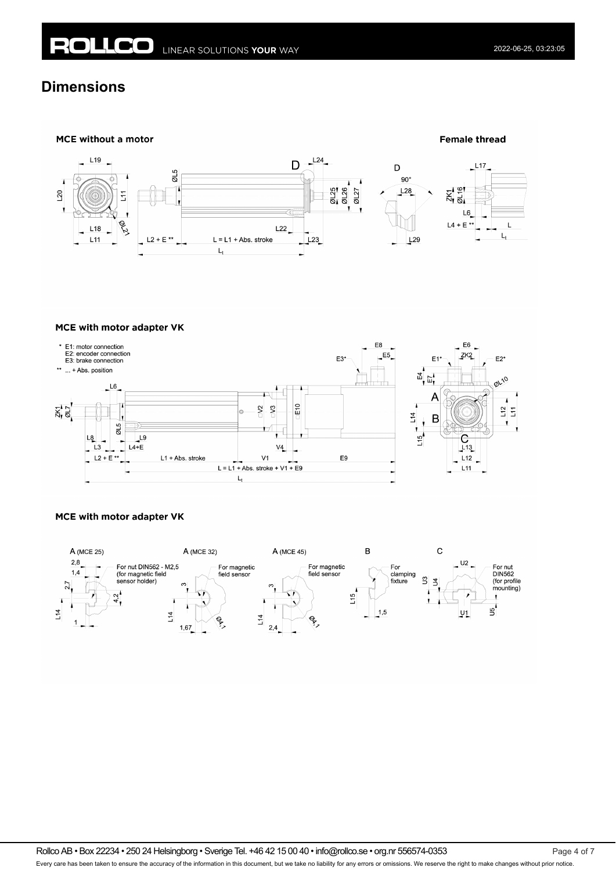# **Dimensions**



#### MCE with motor adapter VK



#### MCE with motor adapter VK



Rollco AB • Box 22234 • 250 24 Helsingborg • Sverige Tel. +46 42 15 00 40 • info@rollco.se • org.nr 556574-0353 Page 4 of 7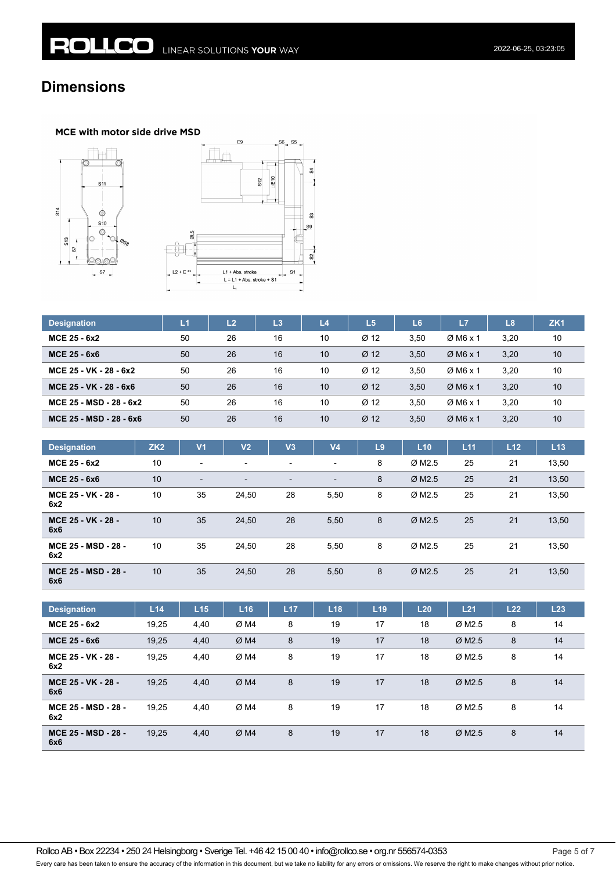# **Dimensions**

### MCE with motor side drive MSD





| <b>Designation</b>      | L1 | L <sub>2</sub> | L3 | L4 | L <sub>5</sub>   | L <sub>6</sub> | L7                   | L8   | ZK <sub>1</sub> |
|-------------------------|----|----------------|----|----|------------------|----------------|----------------------|------|-----------------|
| MCE 25 - 6x2            | 50 | 26             | 16 | 10 | Ø <sub>12</sub>  | 3.50           | $Ø$ M6 x 1           | 3.20 | 10              |
| <b>MCE 25 - 6x6</b>     | 50 | 26             | 16 | 10 | Ø <sub>12</sub>  | 3,50           | $Ø$ M6 x 1           | 3,20 | 10              |
| MCE 25 - VK - 28 - 6x2  | 50 | 26             | 16 | 10 | Ø <sub>12</sub>  | 3.50           | $\varnothing$ M6 x 1 | 3.20 | 10              |
| MCE 25 - VK - 28 - 6x6  | 50 | 26             | 16 | 10 | $\varnothing$ 12 | 3.50           | $Ø$ M6 x 1           | 3,20 | 10              |
| MCE 25 - MSD - 28 - 6x2 | 50 | 26             | 16 | 10 | Ø <sub>12</sub>  | 3.50           | $\varnothing$ M6 x 1 | 3.20 | 10              |
| MCE 25 - MSD - 28 - 6x6 | 50 | 26             | 16 | 10 | Ø <sub>12</sub>  | 3,50           | $Ø$ M6 x 1           | 3,20 | 10              |

| <b>Designation</b>                | ZK <sub>2</sub> | V <sub>1</sub> | V2                       | V <sub>3</sub> | V <sub>4</sub>           | L9 | L10                  | L <sub>11</sub> | L <sub>12</sub> | L13   |
|-----------------------------------|-----------------|----------------|--------------------------|----------------|--------------------------|----|----------------------|-----------------|-----------------|-------|
| MCE 25 - 6x2                      | 10              | $\blacksquare$ | $\overline{\phantom{a}}$ | -              | $\overline{\phantom{a}}$ | 8  | ØM2.5                | 25              | 21              | 13,50 |
| MCE 25 - 6x6                      | 10              | $\blacksquare$ |                          | -              | $\blacksquare$           | 8  | $Ø$ M <sub>2.5</sub> | 25              | 21              | 13,50 |
| MCE 25 - VK - 28 -<br>6x2         | 10              | 35             | 24.50                    | 28             | 5,50                     | 8  | ØM2.5                | 25              | 21              | 13,50 |
| MCE 25 - VK - 28 -<br>6x6         | 10              | 35             | 24,50                    | 28             | 5,50                     | 8  | ØM2.5                | 25              | 21              | 13,50 |
| MCE 25 - MSD - 28 -<br>6x2        | 10              | 35             | 24.50                    | 28             | 5,50                     | 8  | ØM2.5                | 25              | 21              | 13,50 |
| <b>MCE 25 - MSD - 28 -</b><br>6x6 | 10              | 35             | 24,50                    | 28             | 5,50                     | 8  | $\varnothing$ M2.5   | 25              | 21              | 13,50 |

| <b>Designation</b>         | L14   | L15  | L16 | L17 | L18 | L19 | L20 | L21                  | L22 | L23 |
|----------------------------|-------|------|-----|-----|-----|-----|-----|----------------------|-----|-----|
| MCE 25 - 6x2               | 19,25 | 4,40 | ØM4 | 8   | 19  | 17  | 18  | Ø M <sub>2.5</sub>   | 8   | 14  |
| MCE 25 - 6x6               | 19,25 | 4,40 | ØM4 | 8   | 19  | 17  | 18  | $Ø$ M <sub>2.5</sub> | 8   | 14  |
| MCE 25 - VK - 28 -<br>6x2  | 19,25 | 4,40 | ØM4 | 8   | 19  | 17  | 18  | $\varnothing$ M2.5   | 8   | 14  |
| MCE 25 - VK - 28 -<br>6x6  | 19,25 | 4,40 | ØM4 | 8   | 19  | 17  | 18  | $Ø$ M <sub>2.5</sub> | 8   | 14  |
| MCE 25 - MSD - 28 -<br>6x2 | 19.25 | 4,40 | ØM4 | 8   | 19  | 17  | 18  | $\varnothing$ M2.5   | 8   | 14  |
| MCE 25 - MSD - 28 -<br>6x6 | 19,25 | 4,40 | ØM4 | 8   | 19  | 17  | 18  | $Ø$ M <sub>2.5</sub> | 8   | 14  |

Rollco AB • Box 22234 • 250 24 Helsingborg • Sverige Tel. +46 42 15 00 40 • info@rollco.se • org.nr 556574-0353 Page 5 of 7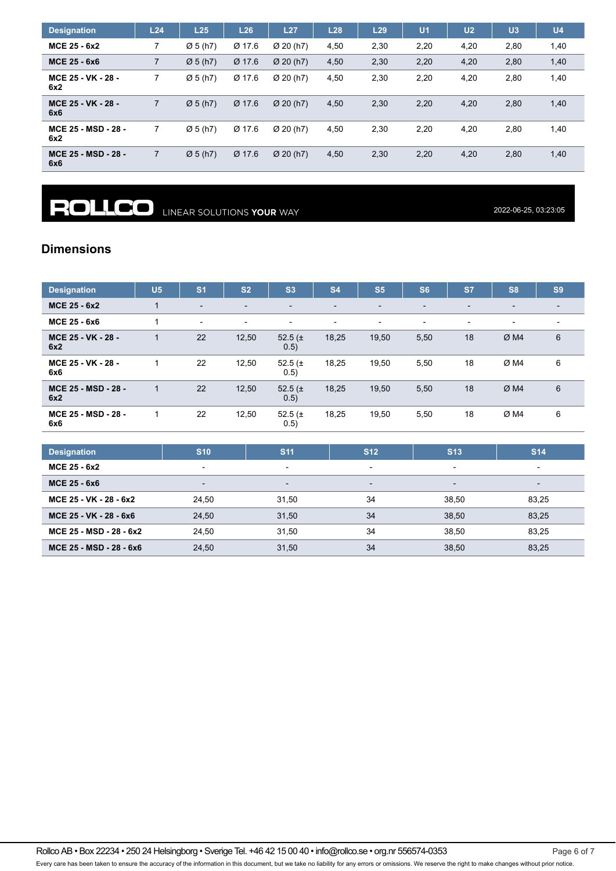| <b>Designation</b>         | L24            | L25                  | L26    | L27                   | L28  | L29  | U <sub>1</sub> | U <sub>2</sub> | U <sub>3</sub> | U4   |
|----------------------------|----------------|----------------------|--------|-----------------------|------|------|----------------|----------------|----------------|------|
| MCE 25 - 6x2               | ⇁              | $\varnothing$ 5 (h7) | Ø 17.6 | $Ø$ 20 (h7)           | 4,50 | 2,30 | 2,20           | 4,20           | 2,80           | 1,40 |
| MCE 25 - 6x6               | $\overline{7}$ | $\varnothing$ 5 (h7) | Ø 17.6 | $Ø$ 20 (h7)           | 4,50 | 2,30 | 2,20           | 4,20           | 2,80           | 1,40 |
| MCE 25 - VK - 28 -<br>6x2  | 7              | $\varnothing$ 5 (h7) | Ø 17.6 | Ø 20 (h7)             | 4,50 | 2,30 | 2,20           | 4,20           | 2,80           | 1,40 |
| MCE 25 - VK - 28 -<br>6x6  | 7              | $\varnothing$ 5 (h7) | Ø 17.6 | $Ø$ 20 (h7)           | 4,50 | 2,30 | 2,20           | 4,20           | 2,80           | 1,40 |
| MCE 25 - MSD - 28 -<br>6x2 | 7              | $\varnothing$ 5 (h7) | Ø 17.6 | $Ø$ 20 (h7)           | 4,50 | 2,30 | 2,20           | 4,20           | 2,80           | 1,40 |
| MCE 25 - MSD - 28 -<br>6x6 | $\overline{7}$ | $\varnothing$ 5 (h7) | Ø 17.6 | $\varnothing$ 20 (h7) | 4,50 | 2,30 | 2,20           | 4,20           | 2,80           | 1,40 |

**ROLLCO** LINEAR SOLUTIONS YOUR WAY

2022-06-25, 03:23:05

### **Dimensions**

| <b>Designation</b>         | U <sub>5</sub> | S <sub>1</sub>           | S <sub>2</sub>           | S <sub>3</sub>           | <b>S4</b>                | S <sub>5</sub>           | S <sub>6</sub>           | <b>S7</b>                | S <sub>8</sub>           | S <sub>9</sub>           |
|----------------------------|----------------|--------------------------|--------------------------|--------------------------|--------------------------|--------------------------|--------------------------|--------------------------|--------------------------|--------------------------|
| MCE 25 - 6x2               |                | $\overline{\phantom{0}}$ | -                        | $\overline{\phantom{a}}$ | $\overline{\phantom{a}}$ | $\overline{\phantom{a}}$ | $\overline{\phantom{a}}$ | $\overline{\phantom{0}}$ | $\overline{\phantom{0}}$ | $\overline{\phantom{0}}$ |
| MCE 25 - 6x6               |                | $\overline{\phantom{0}}$ | $\overline{\phantom{0}}$ | $\overline{\phantom{a}}$ | $\overline{\phantom{a}}$ | $\overline{\phantom{a}}$ | -                        | $\overline{\phantom{0}}$ | $\overline{\phantom{0}}$ |                          |
| MCE 25 - VK - 28 -<br>6x2  |                | 22                       | 12,50                    | 52.5 $(\pm$<br>0.5)      | 18,25                    | 19,50                    | 5,50                     | 18                       | ØM4                      | 6                        |
| MCE 25 - VK - 28 -<br>6x6  |                | 22                       | 12,50                    | 52.5 $(\pm$<br>0.5)      | 18,25                    | 19,50                    | 5,50                     | 18                       | ØM4                      | 6                        |
| MCE 25 - MSD - 28 -<br>6x2 |                | 22                       | 12,50                    | 52.5 $(\pm$<br>0.5)      | 18,25                    | 19,50                    | 5,50                     | 18                       | ØM4                      | 6                        |
| MCE 25 - MSD - 28 -<br>6x6 |                | 22                       | 12,50                    | 52.5 $(\pm$<br>0.5)      | 18,25                    | 19,50                    | 5,50                     | 18                       | ØM4                      | 6                        |

| <b>Designation</b>      | <b>S10</b>               | <b>S11</b>               | <b>S12</b>               | <b>S13</b>               | <b>S14</b>               |
|-------------------------|--------------------------|--------------------------|--------------------------|--------------------------|--------------------------|
| MCE 25 - 6x2            |                          | $\overline{\phantom{0}}$ | $\overline{\phantom{0}}$ | $\overline{\phantom{0}}$ |                          |
| <b>MCE 25 - 6x6</b>     | $\overline{\phantom{0}}$ | $\overline{\phantom{0}}$ | $\overline{\phantom{0}}$ | $\overline{\phantom{a}}$ | $\overline{\phantom{0}}$ |
| MCE 25 - VK - 28 - 6x2  | 24.50                    | 31.50                    | 34                       | 38.50                    | 83.25                    |
| MCE 25 - VK - 28 - 6x6  | 24,50                    | 31,50                    | 34                       | 38,50                    | 83,25                    |
| MCE 25 - MSD - 28 - 6x2 | 24.50                    | 31.50                    | 34                       | 38.50                    | 83.25                    |
| MCE 25 - MSD - 28 - 6x6 | 24,50                    | 31,50                    | 34                       | 38,50                    | 83,25                    |

Rollco AB • Box 22234 • 250 24 Helsingborg • Sverige Tel. +46 42 15 00 40 • info@rollco.se • org.nr 556574-0353 Page 6 of 7

Every care has been taken to ensure the accuracy of the information in this document, but we take no liability for any errors or omissions. We reserve the right to make changes without prior notice.